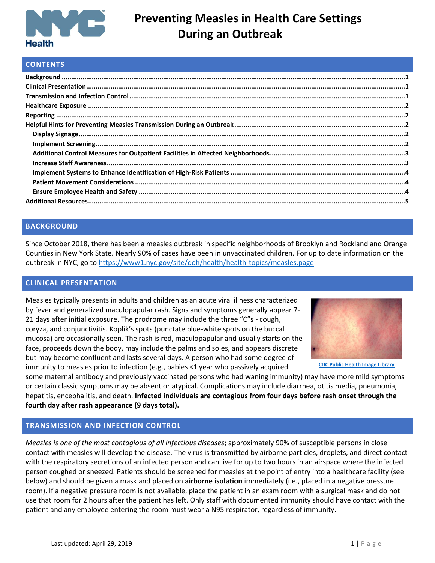

## **CONTENTS**

## <span id="page-0-0"></span>**BACKGROUND**

Since October 2018, there has been a measles outbreak in specific neighborhoods of Brooklyn and Rockland and Orange Counties in New York State. Nearly 90% of cases have been in unvaccinated children. For up to date information on the outbreak in NYC, go to<https://www1.nyc.gov/site/doh/health/health-topics/measles.page>

## <span id="page-0-1"></span>**CLINICAL PRESENTATION**

Measles typically presents in adults and children as an acute viral illness characterized by fever and generalized maculopapular rash. Signs and symptoms generally appear 7- 21 days after initial exposure. The prodrome may include the three "C"s - cough, coryza, and conjunctivitis. Koplik's spots (punctate blue-white spots on the buccal mucosa) are occasionally seen. The rash is red, maculopapular and usually starts on the face, proceeds down the body, may include the palms and soles, and appears discrete but may become confluent and lasts several days. A person who had some degree of immunity to measles prior to infection (e.g., babies <1 year who passively acquired



**[CDC Public Health Image Library](https://www.cdc.gov/measles/about/photos.html)**

some maternal antibody and previously vaccinated persons who had waning immunity) may have more mild symptoms or certain classic symptoms may be absent or atypical. Complications may include diarrhea, otitis media, pneumonia, hepatitis, encephalitis, and death. **Infected individuals are contagious from four days before rash onset through the fourth day after rash appearance (9 days total).**

## <span id="page-0-2"></span>**TRANSMISSION AND INFECTION CONTROL**

*Measles is one of the most contagious of all infectious diseases*; approximately 90% of susceptible persons in close contact with measles will develop the disease. The virus is transmitted by airborne particles, droplets, and direct contact with the respiratory secretions of an infected person and can live for up to two hours in an airspace where the infected person coughed or sneezed. Patients should be screened for measles at the point of entry into a healthcare facility (see below) and should be given a mask and placed on **airborne isolation** immediately (i.e., placed in a negative pressure room). If a negative pressure room is not available, place the patient in an exam room with a surgical mask and do not use that room for 2 hours after the patient has left. Only staff with documented immunity should have contact with the patient and any employee entering the room must wear a N95 respirator, regardless of immunity.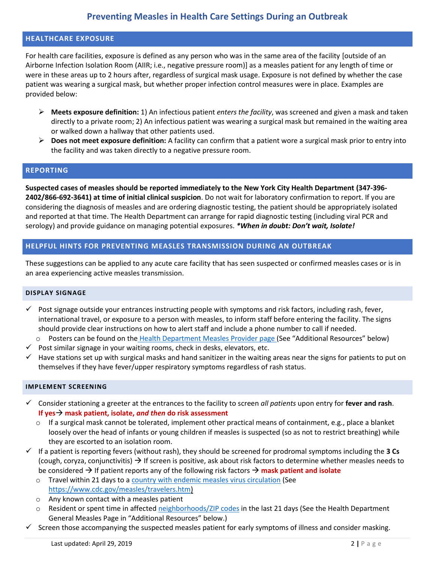### <span id="page-1-0"></span>**HEALTHCARE EXPOSURE**

For health care facilities, exposure is defined as any person who was in the same area of the facility [outside of an Airborne Infection Isolation Room (AIIR; i.e., negative pressure room)] as a measles patient for any length of time or were in these areas up to 2 hours after, regardless of surgical mask usage. Exposure is not defined by whether the case patient was wearing a surgical mask, but whether proper infection control measures were in place. Examples are provided below:

- ➢ **Meets exposure definition:** 1) An infectious patient *enters the facility*, was screened and given a mask and taken directly to a private room; 2) An infectious patient was wearing a surgical mask but remained in the waiting area or walked down a hallway that other patients used.
- ➢ **Does not meet exposure definition:** A facility can confirm that a patient wore a surgical mask prior to entry into the facility and was taken directly to a negative pressure room.

#### <span id="page-1-1"></span>**REPORTING**

**Suspected cases of measles should be reported immediately to the New York City Health Department (347-396- 2402/866-692-3641) at time of initial clinical suspicion**. Do not wait for laboratory confirmation to report. If you are considering the diagnosis of measles and are ordering diagnostic testing, the patient should be appropriately isolated and reported at that time. The Health Department can arrange for rapid diagnostic testing (including viral PCR and serology) and provide guidance on managing potential exposures. *\*When in doubt: Don't wait, Isolate!*

## <span id="page-1-2"></span>**HELPFUL HINTS FOR PREVENTING MEASLES TRANSMISSION DURING AN OUTBREAK**

These suggestions can be applied to any acute care facility that has seen suspected or confirmed measles cases or is in an area experiencing active measles transmission.

#### <span id="page-1-3"></span>**DISPLAY SIGNAGE**

- $\checkmark$  Post signage outside your entrances instructing people with symptoms and risk factors, including rash, fever, international travel, or exposure to a person with measles, to inform staff before entering the facility. The signs should provide clear instructions on how to alert staff and include a phone number to call if needed.
- o Posters can be found on the Health Department [Measles Provider page](https://www1.nyc.gov/site/doh/providers/health-topics/measles.page) (See "Additional Resources" below)
- $\checkmark$  Post similar signage in your waiting rooms, check in desks, elevators, etc.
- $\checkmark$  Have stations set up with surgical masks and hand sanitizer in the waiting areas near the signs for patients to put on themselves if they have fever/upper respiratory symptoms regardless of rash status.

#### <span id="page-1-4"></span>**IMPLEMENT SCREENING**

- ✓ Consider stationing a greeter at the entrances to the facility to screen *all patients* upon entry for **fever and rash**. **If yes**→ **mask patient, isolate,** *and then* **do risk assessment**
	- $\circ$  If a surgical mask cannot be tolerated, implement other practical means of containment, e.g., place a blanket loosely over the head of infants or young children if measles is suspected (so as not to restrict breathing) while they are escorted to an isolation room.
- ✓ If a patient is reporting fevers (without rash), they should be screened for prodromal symptoms including the **3 Cs** (cough, coryza, conjunctivitis)  $\rightarrow$  If screen is positive, ask about risk factors to determine whether measles needs to be considered → If patient reports any of the following risk factors → **mask patient and isolate**
	- o Travel within 21 days to a country [with endemic measles virus circulation](https://www.cdc.gov/measles/travelers.htm) (See https://www.cdc.gov/measles/travelers.htm)
	- o Any known contact with a measles patient
	- o Resident or spent time in affected [neighborhoods/ZIP codes](https://www1.nyc.gov/site/doh/health/health-topics/measles.page) in the last 21 days (See the Health Department General Measles Page in "Additional Resources" below.)
- $\checkmark$  Screen those accompanying the suspected measles patient for early symptoms of illness and consider masking.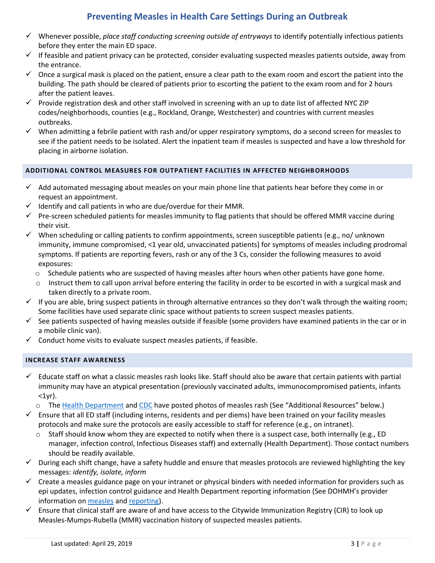- ✓ Whenever possible, *place staff conducting screening outside of entryways* to identify potentially infectious patients before they enter the main ED space.
- $\checkmark$  If feasible and patient privacy can be protected, consider evaluating suspected measles patients outside, away from the entrance.
- $\checkmark$  Once a surgical mask is placed on the patient, ensure a clear path to the exam room and escort the patient into the building. The path should be cleared of patients prior to escorting the patient to the exam room and for 2 hours after the patient leaves.
- $\checkmark$  Provide registration desk and other staff involved in screening with an up to date list of affected NYC ZIP codes/neighborhoods, counties (e.g., Rockland, Orange, Westchester) and countries with current measles outbreaks.
- $\checkmark$  When admitting a febrile patient with rash and/or upper respiratory symptoms, do a second screen for measles to see if the patient needs to be isolated. Alert the inpatient team if measles is suspected and have a low threshold for placing in airborne isolation.

## <span id="page-2-0"></span>**ADDITIONAL CONTROL MEASURES FOR OUTPATIENT FACILITIES IN AFFECTED NEIGHBORHOODS**

- $\checkmark$  Add automated messaging about measles on your main phone line that patients hear before they come in or request an appointment.
- $\checkmark$  Identify and call patients in who are due/overdue for their MMR.
- $\checkmark$  Pre-screen scheduled patients for measles immunity to flag patients that should be offered MMR vaccine during their visit.
- $\checkmark$  When scheduling or calling patients to confirm appointments, screen susceptible patients (e.g., no/ unknown immunity, immune compromised, <1 year old, unvaccinated patients) for symptoms of measles including prodromal symptoms. If patients are reporting fevers, rash or any of the 3 Cs, consider the following measures to avoid exposures:
	- $\circ$  Schedule patients who are suspected of having measles after hours when other patients have gone home.
	- $\circ$  Instruct them to call upon arrival before entering the facility in order to be escorted in with a surgical mask and taken directly to a private room.
- $\checkmark$  If you are able, bring suspect patients in through alternative entrances so they don't walk through the waiting room; Some facilities have used separate clinic space without patients to screen suspect measles patients.
- $\checkmark$  See patients suspected of having measles outside if feasible (some providers have examined patients in the car or in a mobile clinic van).
- $\checkmark$  Conduct home visits to evaluate suspect measles patients, if feasible.

## <span id="page-2-1"></span>**INCREASE STAFF AWARENESS**

- $\checkmark$  Educate staff on what a classic measles rash looks like. Staff should also be aware that certain patients with partial immunity may have an atypical presentation (previously vaccinated adults, immunocompromised patients, infants  $<sub>1yr</sub>$ .</sub>
	- o Th[e Health Department](https://www1.nyc.gov/assets/doh/downloads/pdf/imm/rash-poster.pdf) and [CDC](https://www.cdc.gov/measles/about/photos.html) have posted photos of measles rash (See "Additional Resources" below.)
- $\checkmark$  Ensure that all ED staff (including interns, residents and per diems) have been trained on your facility measles protocols and make sure the protocols are easily accessible to staff for reference (e.g., on intranet).
	- o Staff should know whom they are expected to notify when there is a suspect case, both internally (e.g., ED manager, infection control, Infectious Diseases staff) and externally (Health Department). Those contact numbers should be readily available.
- $\checkmark$  During each shift change, have a safety huddle and ensure that measles protocols are reviewed highlighting the key messages: *identify, isolate, inform*
- $\checkmark$  Create a measles guidance page on your intranet or physical binders with needed information for providers such as epi updates, infection control guidance and Health Department reporting information (See DOHMH's provider information o[n measles](https://www1.nyc.gov/site/doh/providers/health-topics/measles.page) an[d reporting\)](https://www1.nyc.gov/site/doh/providers/reporting-and-services-main.page).
- Ensure that clinical staff are aware of and have access to the Citywide Immunization Registry (CIR) to look up Measles-Mumps-Rubella (MMR) vaccination history of suspected measles patients.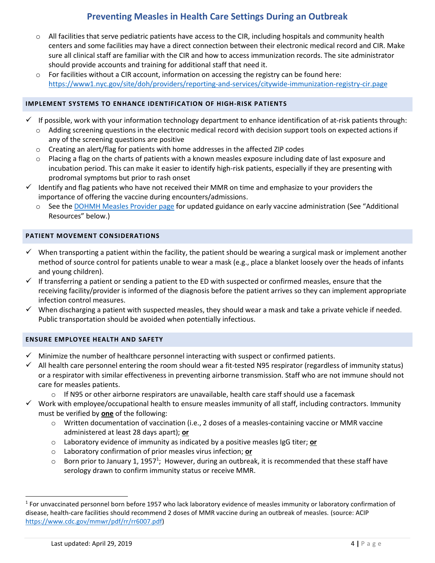- $\circ$  All facilities that serve pediatric patients have access to the CIR, including hospitals and community health centers and some facilities may have a direct connection between their electronic medical record and CIR. Make sure all clinical staff are familiar with the CIR and how to access immunization records. The site administrator should provide accounts and training for additional staff that need it.
- $\circ$  For facilities without a CIR account, information on accessing the registry can be found here: <https://www1.nyc.gov/site/doh/providers/reporting-and-services/citywide-immunization-registry-cir.page>

## <span id="page-3-0"></span>**IMPLEMENT SYSTEMS TO ENHANCE IDENTIFICATION OF HIGH-RISK PATIENTS**

- $\checkmark$  If possible, work with your information technology department to enhance identification of at-risk patients through:
	- $\circ$  Adding screening questions in the electronic medical record with decision support tools on expected actions if any of the screening questions are positive
	- $\circ$  Creating an alert/flag for patients with home addresses in the affected ZIP codes
	- $\circ$  Placing a flag on the charts of patients with a known measles exposure including date of last exposure and incubation period. This can make it easier to identify high-risk patients, especially if they are presenting with prodromal symptoms but prior to rash onset
- $\checkmark$  Identify and flag patients who have not received their MMR on time and emphasize to your providers the importance of offering the vaccine during encounters/admissions.
	- o See th[e DOHMH Measles Provider page](https://www1.nyc.gov/site/doh/providers/health-topics/measles.page) for updated guidance on early vaccine administration (See "Additional Resources" below.)

### <span id="page-3-1"></span>**PATIENT MOVEMENT CONSIDERATIONS**

- ✓ When transporting a patient within the facility, the patient should be wearing a surgical mask or implement another method of source control for patients unable to wear a mask (e.g., place a blanket loosely over the heads of infants and young children).
- $\checkmark$  If transferring a patient or sending a patient to the ED with suspected or confirmed measles, ensure that the receiving facility/provider is informed of the diagnosis before the patient arrives so they can implement appropriate infection control measures.
- $\checkmark$  When discharging a patient with suspected measles, they should wear a mask and take a private vehicle if needed. Public transportation should be avoided when potentially infectious.

### <span id="page-3-2"></span>**ENSURE EMPLOYEE HEALTH AND SAFETY**

- Minimize the number of healthcare personnel interacting with suspect or confirmed patients.
- $\checkmark$  All health care personnel entering the room should wear a fit-tested N95 respirator (regardless of immunity status) or a respirator with similar effectiveness in preventing airborne transmission. Staff who are not immune should not care for measles patients.
	- $\circ$  If N95 or other airborne respirators are unavailable, health care staff should use a facemask
- $\checkmark$  Work with employee/occupational health to ensure measles immunity of all staff, including contractors. Immunity must be verified by **one** of the following:
	- o Written documentation of vaccination (i.e., 2 doses of a measles-containing vaccine or MMR vaccine administered at least 28 days apart); **or**
	- o Laboratory evidence of immunity as indicated by a positive measles IgG titer; **or**
	- o Laboratory confirmation of prior measles virus infection; **or**
	- $\circ$  Born prior to January 1, 1957<sup>1</sup>; However, during an outbreak, it is recommended that these staff have serology drawn to confirm immunity status or receive MMR.

 $\overline{a}$ 

<sup>&</sup>lt;sup>1</sup> For unvaccinated personnel born before 1957 who lack laboratory evidence of measles immunity or laboratory confirmation of disease, health-care facilities should recommend 2 doses of MMR vaccine during an outbreak of measles. (source: ACIP [https://www.cdc.gov/mmwr/pdf/rr/rr6007.pdf\)](https://www.cdc.gov/mmwr/pdf/rr/rr6007.pdf)